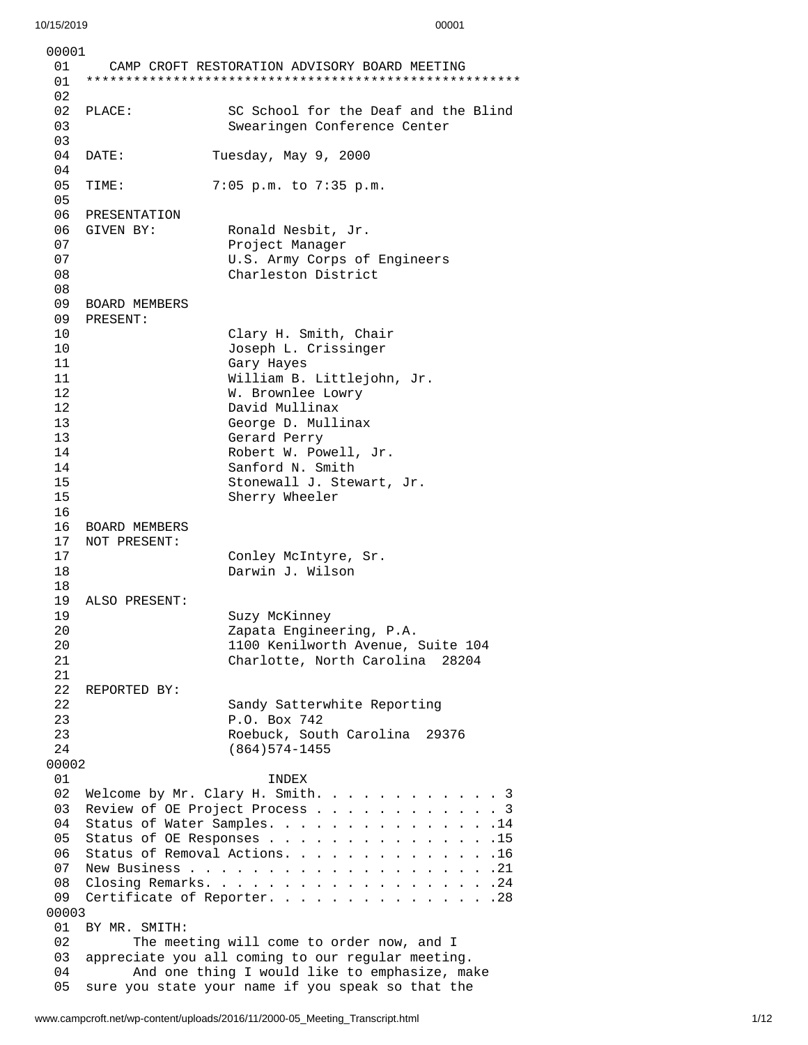| 00001    |                                      |                                                                                                |  |  |
|----------|--------------------------------------|------------------------------------------------------------------------------------------------|--|--|
| 01<br>01 |                                      | CAMP CROFT RESTORATION ADVISORY BOARD MEETING                                                  |  |  |
| 02       |                                      |                                                                                                |  |  |
| 02       | PLACE:                               | SC School for the Deaf and the Blind                                                           |  |  |
| 03       |                                      | Swearingen Conference Center                                                                   |  |  |
| 03       |                                      |                                                                                                |  |  |
| 04       | DATE:                                | Tuesday, May 9, 2000                                                                           |  |  |
| 04       |                                      |                                                                                                |  |  |
| 05       | TIME:                                | 7:05 p.m. to 7:35 p.m.                                                                         |  |  |
| 05<br>06 | PRESENTATION                         |                                                                                                |  |  |
| 06       | GIVEN BY:                            | Ronald Nesbit, Jr.                                                                             |  |  |
| 07       |                                      | Project Manager                                                                                |  |  |
| 07       |                                      | U.S. Army Corps of Engineers                                                                   |  |  |
| 08       |                                      | Charleston District                                                                            |  |  |
| 08       |                                      |                                                                                                |  |  |
| 09<br>09 | <b>BOARD MEMBERS</b><br>PRESENT:     |                                                                                                |  |  |
| 10       |                                      | Clary H. Smith, Chair                                                                          |  |  |
| 10       |                                      | Joseph L. Crissinger                                                                           |  |  |
| 11       |                                      | Gary Hayes                                                                                     |  |  |
| 11       |                                      | William B. Littlejohn, Jr.                                                                     |  |  |
| 12       |                                      | W. Brownlee Lowry                                                                              |  |  |
| 12       |                                      | David Mullinax                                                                                 |  |  |
| 13<br>13 |                                      | George D. Mullinax<br>Gerard Perry                                                             |  |  |
| 14       |                                      | Robert W. Powell, Jr.                                                                          |  |  |
| 14       |                                      | Sanford N. Smith                                                                               |  |  |
| 15       |                                      | Stonewall J. Stewart, Jr.                                                                      |  |  |
| 15       |                                      | Sherry Wheeler                                                                                 |  |  |
| 16       |                                      |                                                                                                |  |  |
| 16<br>17 | <b>BOARD MEMBERS</b><br>NOT PRESENT: |                                                                                                |  |  |
| 17       |                                      | Conley McIntyre, Sr.                                                                           |  |  |
| 18       |                                      | Darwin J. Wilson                                                                               |  |  |
| 18       |                                      |                                                                                                |  |  |
| 19       | ALSO PRESENT:                        |                                                                                                |  |  |
| 19<br>20 |                                      | Suzy McKinney                                                                                  |  |  |
| 20       |                                      | Zapata Engineering, P.A.<br>1100 Kenilworth Avenue, Suite 104                                  |  |  |
| 21       |                                      | Charlotte, North Carolina<br>28204                                                             |  |  |
| 21       |                                      |                                                                                                |  |  |
| 22       | REPORTED BY:                         |                                                                                                |  |  |
| 22       |                                      | Sandy Satterwhite Reporting                                                                    |  |  |
| 23<br>23 |                                      | P.O. Box 742<br>Roebuck, South Carolina<br>29376                                               |  |  |
| 24       |                                      | $(864)574 - 1455$                                                                              |  |  |
| 00002    |                                      |                                                                                                |  |  |
| 01       |                                      | <b>INDEX</b>                                                                                   |  |  |
| 02       |                                      | Welcome by Mr. Clary H. Smith.<br>. 3                                                          |  |  |
| 03       |                                      | Review of OE Project Process<br>. 3                                                            |  |  |
| 04<br>05 |                                      | Status of Water Samples. 14<br>Status of OE Responses 15                                       |  |  |
| 06       |                                      | Status of Removal Actions. 16                                                                  |  |  |
| 07       |                                      |                                                                                                |  |  |
| 08       |                                      |                                                                                                |  |  |
| 09       |                                      | Certificate of Reporter. 28                                                                    |  |  |
| 00003    |                                      |                                                                                                |  |  |
| 01<br>02 | BY MR. SMITH:                        |                                                                                                |  |  |
| 03       |                                      | The meeting will come to order now, and I<br>appreciate you all coming to our regular meeting. |  |  |
| 04       |                                      | And one thing I would like to emphasize, make                                                  |  |  |
| 05       |                                      | sure you state your name if you speak so that the                                              |  |  |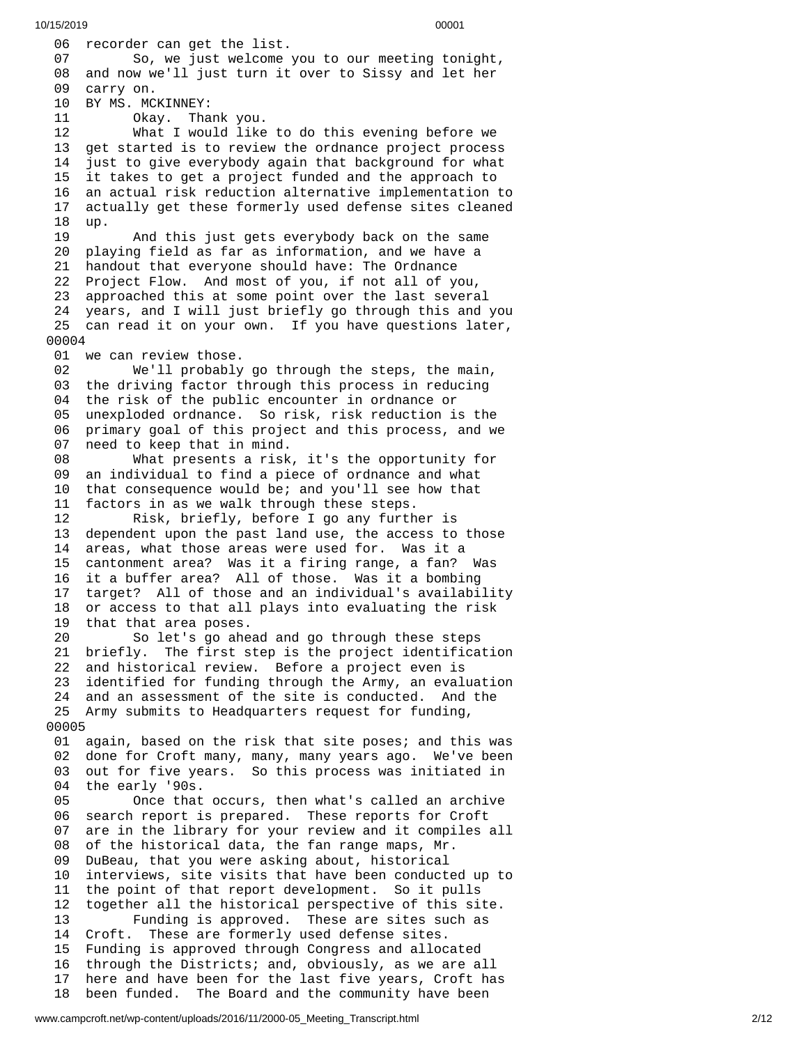06 recorder can get the list. 07 So, we just welcome you to our meeting tonight, 08 and now we'll just turn it over to Sissy and let her 09 carry on. 10 BY MS. MCKINNEY: 11 Okay. Tha n k y o u. 12 What I would like t o d o t h i s e v e n i n g b e f o r e w e 13 get started is to review the ordnance project process 1 4 just to give everybody again that background for what 15 it takes to get a project funded and the approach to 16 an actual risk reduction alternative implementation to 1 7 actually get these formerly used defense sites cleaned 1 8 u p. 19 And this just gets everybody back on the same 20 playing field as far as information, and we have a 21 handout that everyone should have: The Ordnance 22 Project Flow. And most of you, if not all of you, 23 approached this at some point over the last several 24 years, and I will just briefly go through this and you 25 can read it on your own. If you have questions later, 0 0 0 0 4 01 we can review those. 02 We'll probably g o t h r o u g h t h e s t e p s , t h e m a i n , 03 the driving factor through this process in reducing 04 the risk of the public encounter in ordnance or 05 unexploded ordnance. So risk, risk reduction is the 06 primary goal of this project and this process, and we 07 need to keep that in mind. 08 What presents a risk , i t's t h e o p p o r t u n i t y f o r 09 an individual to find a piece of ordnance and what 10 that consequence would be; and you'll see how that 1 1 factors in as we walk through these steps. 12 Risk, briefly, before I go any furth e r i s 13 dependent upon the past land use, the access to those 14 areas, what those areas were used for. Was it a 1 5 cantonment area? Was it a firing range, a fan? Was 16 it a buffer area? All of those. Was it a bombing 17 target? All of those and an individual's availability 18 or access to that all plays into evaluating the risk 1 9 that that area poses. 20 So let's go ahe a d a n d g o t h r o u g h t h e s e s t e p s 21 briefly. The first step is the project identification 22 and historical review. Before a project even is 23 identified for funding through the Army, an evaluation 24 and an assessment of the site is conducted. And the 25 Army submits to Headquarters request for funding, 0 0 0 0 5 01 again, based on the risk that site poses; and this was 02 done for Croft many, many, many years ago. We've been 03 out for five years. So this process was initiated in 04 the early '90s. 05 Once that o c c u r s , t h e n w h a t's c a l l e d a n a r c h i v e 06 search report is prepared. These reports for Croft 0 7 are in the library for your review and it compiles all 0 8 of the historical data, the fan range maps, Mr. 09 DuBeau, that you were asking about, historical 10 interviews, site visits that have been conducte d u p t o 11 the point of that report development. So it pulls 1 2 together all the historical perspective of this site. 13 Funding is approved. These are sites such as 14 Croft. These are formerly used defense sites. 15 Funding is approved through Congress and allocated 16 through the Districts; and, obviously, as we are all 17 here and have been for the last five years, Croft has 18 been funded. The Board and the community have been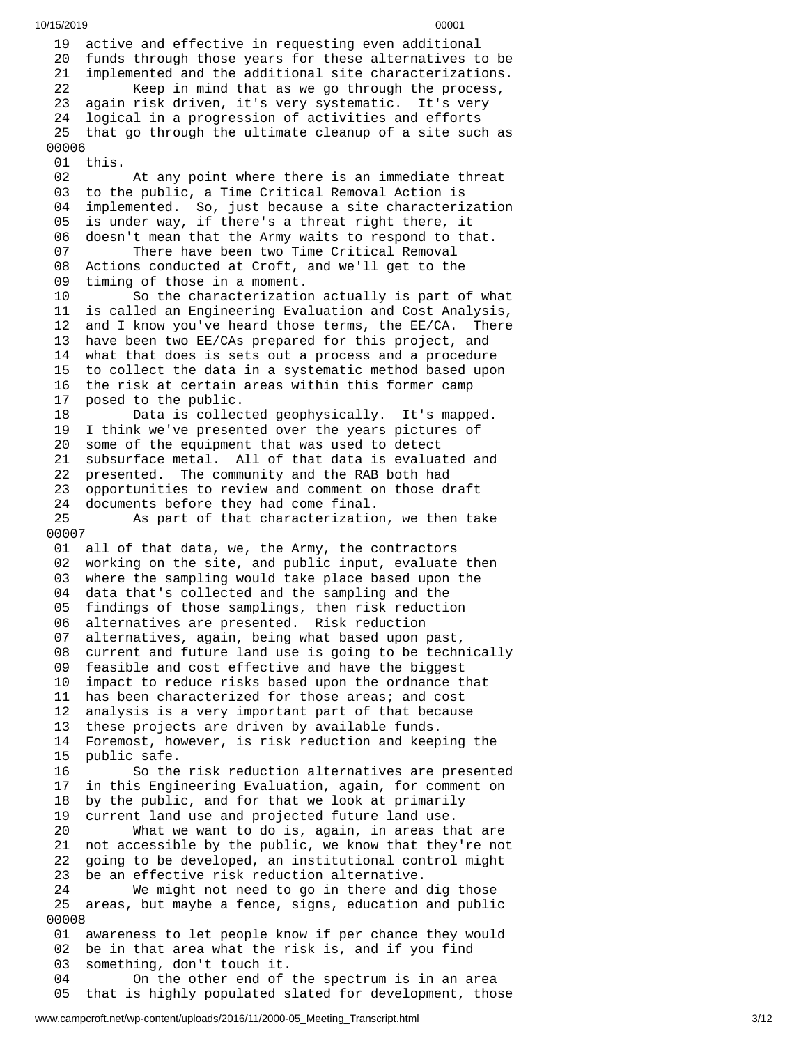19 active and effective in requesting even additional 20 funds through those years for these alternatives to be 21 implemented and the additional site characterizations. 22 Keep in mind that as we go through the process, 23 again risk driven, it's very systematic. It's very logical in a progression of activities and efforts 25 that go through the ultimate cleanup of a site such as 0 0 0 0 6 01 this. 02 At any point where there is an immediate threat 03 to the public, a Time Critical Removal Action is 0 4 implemented. So, just because a site characterization 0 5 is under way, if there's a threat right there, it 06 doesn't mean that the Army waits to respond to that. 07 There have been two Time Critical Removal 08 Actions conducted at Croft, and we'll get to the 09 timing of those in a moment. 10 So the characterization actually is part of wh a t 1 1 is called an Engineering Evaluation and Cost Analysis, 1 2 and I know you've heard those terms, the EE/CA. There 1 3 have been two EE/CAs prepared for this project, and 1 4 what that does is sets out a process and a procedure 1 5 to collect the data in a systematic method based upon 1 6 the risk at certain areas within this former camp 1 7 posed to the public. 18 Data is collec t e d g e o p h y s i c a l l y. I t's m a p p e d. 19 I think we've presented over the years pictures of 20 some of the equipment that was used to detect 21 subsurface metal. All of that data is evaluated and 22 presented. The community and the RAB both had 23 opportunities to review and comment on those draft 24 documents before they had come final. 25 As part of that characterization, we then take 0 0 0 0 7 01 all of that data, we, the Army, the contractors 0 2 working on the site, and public input, evaluate then 0 3 where the sampling would take place based upon the 04 data that's collected and the sampling and the 0 5 findings of those samplings, then risk reduction 0 6 alternatives are presented. Risk reduction 0 7 alternatives, again, being what based upon past, 08 current and future land use is going to be technically 09 feasible and cost effective and have the biggest 1 0 impact to reduce risks based upon the ordnance that 11 has been characterized for those areas; and cost 1 2 analysis is a very important part of that because 1 3 these projects are driven by available funds. 14 Foremost, however, is risk reduction and keeping the 1 5 public safe. 16 So the risk reduction alternatives are presented 1 7 in this Engineering Evaluation, again, for comment on 1 8 by the public, and for that we look at primarily 1 9 current land use and projected future land use. 20 What we want to do is, again, in areas that are 21 not accessible by the public, we know that they're not 2 2 going to be developed, an institutional control might 2 3 be an effective risk reduction alternative. 24 We might not need to go in there and dig those 25 areas, but maybe a fence, signs, education and public 0 0 0 0 8 01 awareness to let people know if per chance they would 02 be in that area what the risk is, and if you find 0 3 something, don't touch it. 04 On the other end of t h e s p e c t r u m i s i n a n a r e a 0 5 that is highly populated slated for development, those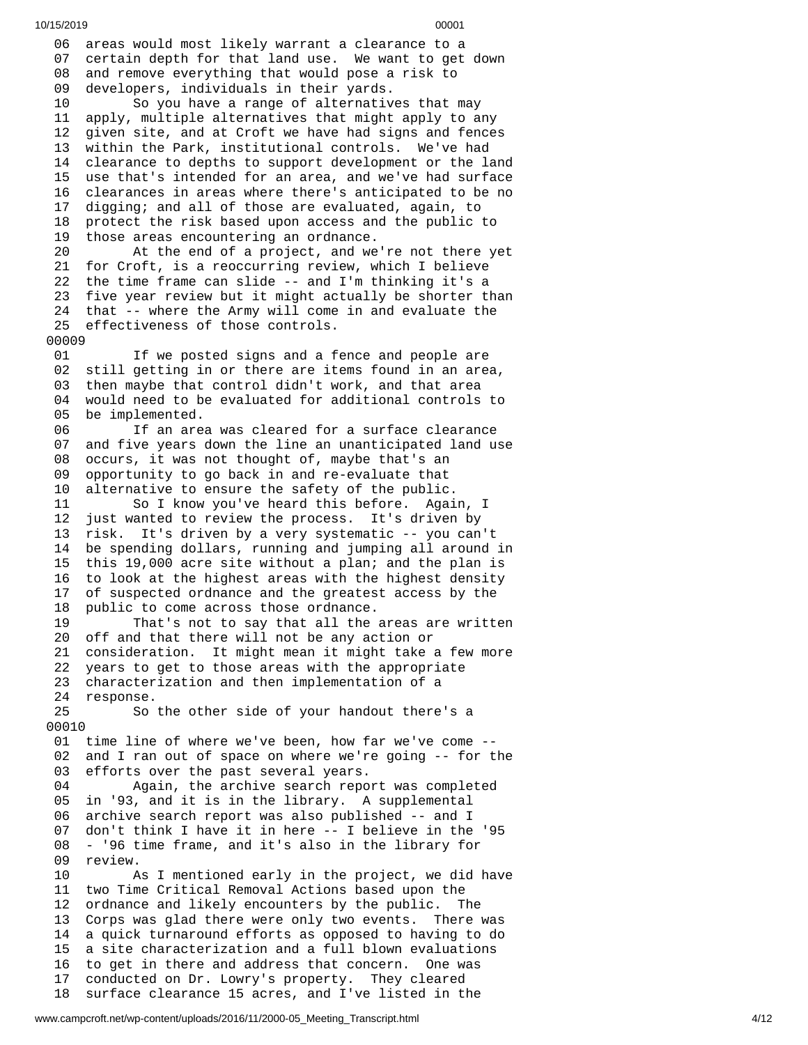06 areas would most likely warrant a clearance to a 07 certain depth for that land use. We want to get down 08 and remove everything that would pose a risk to 0 9 developers, individuals in their yards. 10 So you have a range of alternatives that may 1 1 apply, multiple alternatives that might apply to any 1 2 given site, and at Croft we have had signs and fences 13 within the Park, institutional controls. We've had 14 clearance to depths to support development or the land 15 use that's intended for an area, and we've had surface 16 clearances in areas where there's anticipated to be no 17 digging; and all of those are evaluated, again, to 18 protect the risk based upon access and the public to 19 those areas encountering an ordnance. 20 At the end of a project, and we're not there yet 21 for Croft, is a reoccurring review, which I believe 22 the time frame can slide -- and I'm thinking it's a 23 five year review but it might actually be shorter than 24 that -- where the Army will come in and evaluate the 25 effectiveness of those controls. 00009 01 If we posted signs and a fence and people are 0 2 still getting in or there are items found in an area, 0 3 then maybe that control didn't work, and that area 0 4 would need to be evaluated for additional controls to 0 5 be implemented. 06 If an area was cleared for a surface clearance 0 7 and five years down the line an unanticipated land use 0 8 occurs, it was not thought of, maybe that's an 0 9 opportunity to go back in and re-evaluate that 1 0 alternative to ensure the safety of the public. 11 So I know you've heard this before. Agai n , I 12 just wanted to review the process. It's driven by 13 risk. It's driven by a very systematic -- you can't 14 be spending dollars, running and jumping all around in 1 5 this 19,000 acre site without a plan; and the plan is 1 6 to look at the highest areas with the highest density 1 7 of suspected ordnance and the greatest access by the 1 8 public to come across those ordnance. 19 That's not to say that all the areas are written 20 off and that there will not be any action or 21 consideration. It might mean it might take a few more 22 years to get to those areas with the appropriate 23 characterization and then implementation of a 24 response. 25 So the other side of your handout there's a 00010 01 time line of where we've been, how far we've come --02 and I ran out of space on where we're going -- for the 0 3 efforts over the past several years. 04 Again, the archive search report was completed 0 5 in '93, and it is in the library. A supplemental 0 6 archive search report was also published -- and I 0 7 don't think I have it in here -- I believe in the '95 0 8 - '96 time frame, and it's also in the library for 09 review.  $10$ s I mentioned early in the project, we did have 11 two Time Critical Removal Actions based upon the 1 2 ordnance and likely encounters by the public. The 13 Corps was glad there were only two events. There was 14 a quick turnaround efforts as opposed to having to do 15 a site characterization and a full blown evaluations 16 to get in there and address that concern. One was 1 7 conducted on Dr. Lowry's property. They cleared

18 surface clearance 15 acres, and I've listed in the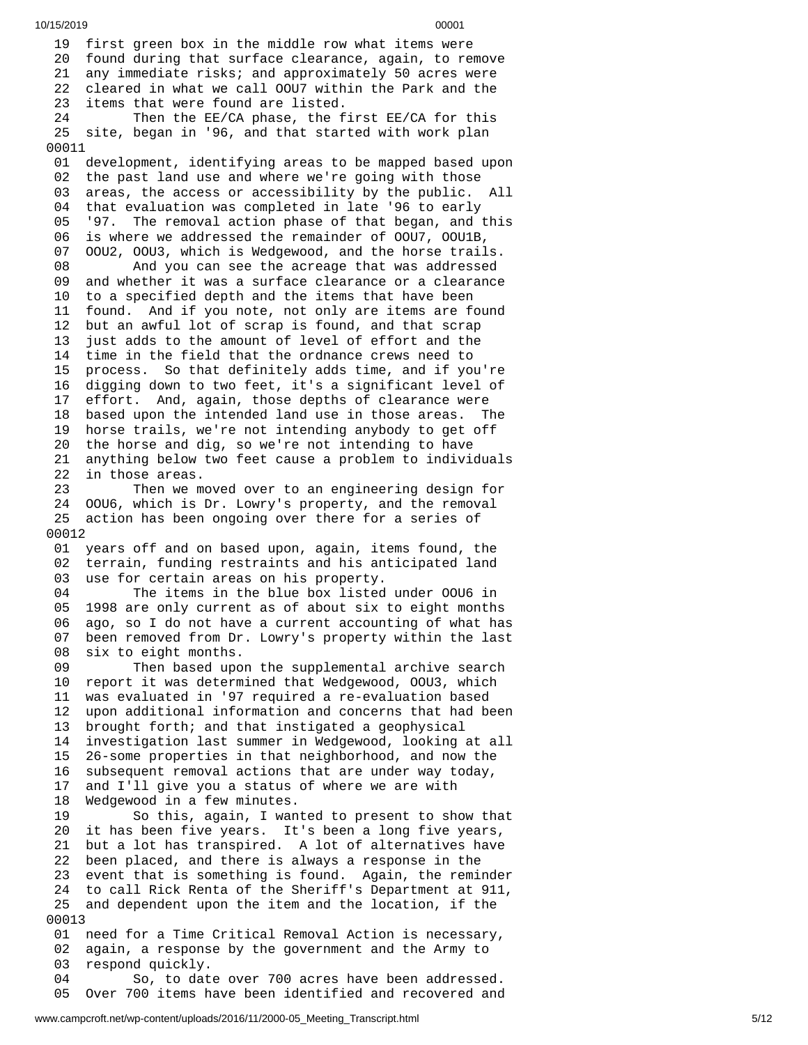10/15/2019 00001 19 first green box in the middle row what items were 20 found during that surface clearance, again, to remove 21 any immediate risks; and approximately 50 acres were 22 cleared in what we call 00U7 within the Park and the 2 3 items that were found are listed. 24 Then the EE/CA phase, the first EE/CA for this 25 site, began in '96, and that started with work plan 00011 01 development, identifying areas to be mapped based upon 02 the past land use and where we're going with those 0 3 areas, the access or accessibility by the public. All 04 that evaluation was completed in late '96 to early 05 5 '97. The removal action phase of that began, and this 06 is where we addressed the remainder of OOU7, OOU1B, 0 7 00U2, 00U3, which is Wedgewood, and the horse trails. 08 And you can see the acreage that was addressed 09 and whether it was a surface clearance or a clearance 10 to a specified depth and the items that have been 11 found. And if you note, not only are items are found<br>12 but an awful lot of scrap is found, and that scrap but an awful lot of scrap is found, and that scrap 13 just adds to the amount of level of effort and the 14 time in the field that the ordnance crews need to process. So that definitely adds time, and if you're 16 digging down to two feet, it's a significant level of 17 effort. And, again, those depths of clearance were 18 based upon the intended land use in those areas. The 19 horse trails, we're not intending anybody to get off 20 the horse and dig, so we're not intending to have 21 anything below two feet cause a problem to individual s 2 2 in those areas. 23 Then we moved over to an engineering design for 24 00U6, which is Dr. Lowry's property, and the removal 25 action has been ongoing over there for a series of 0 0 0 1 2 01 years off and on based upon, again, items found, the 0 2 terrain, funding restraints and his anticipated land 0 3 use for certain areas on his property. 04 The items in the blue box listed under 00U6 in 0 5 1998 are only current as of about six to eight months 0 6 ago, so I do not have a current accounting of what has 0 7 been removed from Dr. Lowry's property within the last 0 8 six to eight months. 09 Then based upon the supplemental archive search 10 report it was determined that Wedgewood, OOU3, which 11 was evaluated in '97 required a re-evaluation based 12 upon additional information and concerns that had been 13 brought forth; and that instigated a geophysical 14 investigation last summer in Wedgewood, looking at all 15 26-some properties in that neighborhood, and now the 1 6 subsequent removal actions that are under way today, 1 7 and I'll give you a status of where we are with 1 8 Wedgewood in a few minutes. 19 So this, again, I wanted to present to show that 20 it has been five years. It's been a long five years, 21 but a lot has transpired. A lot of alternatives have 22 been placed, and there is always a response in the 23 event that is something is found. Again, the reminder 24 to call Rick Renta of the Sheriff's Department at 911, 25 and dependent upon the item and the location, if the 0 0 0 1 3 01 need for a Time Critical Removal Action is necessary, 0 2 again, a response by the government and the Army to 0 3 respond quickly. 04 So, to dat e o v e r 7 0 0 a c r e s h a v e b e e n a d d r e s s e d.

05 Over 700 items have been identified and recovered and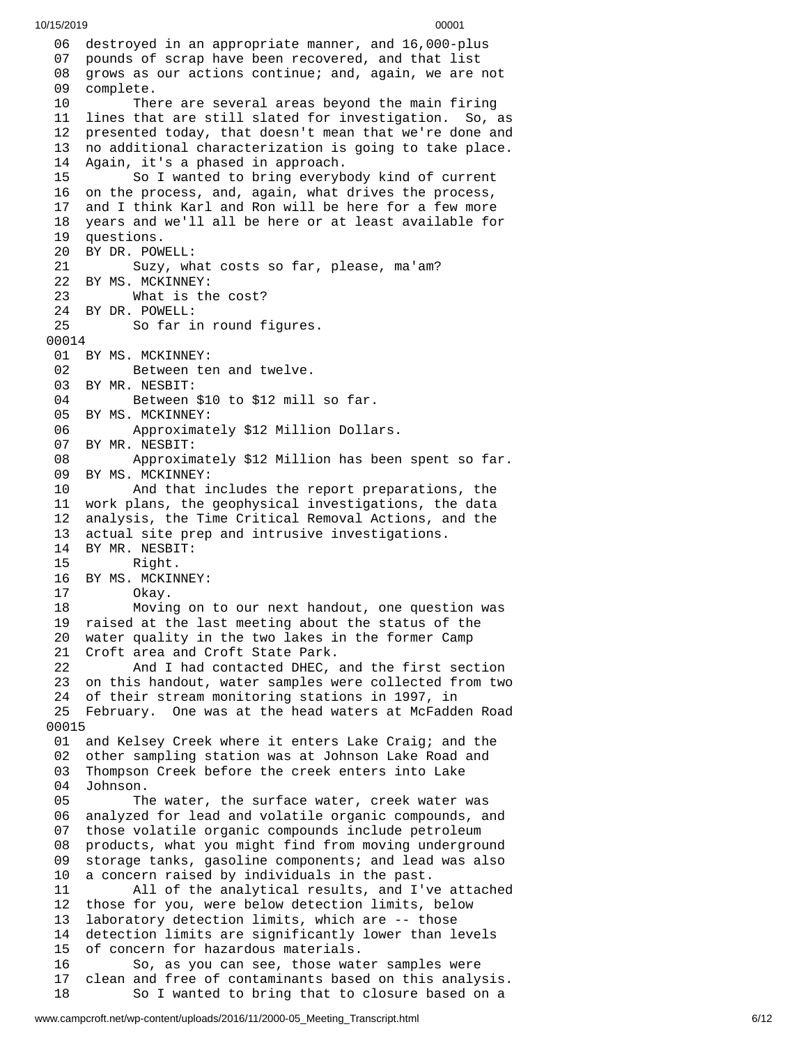06 destroyed in an appropriate manner, and 16,000-plus 07 pounds of scrap have been recovered, and that list 08 grows as our actions continue; and, again, we are not 09 complete. 10 There are several areas beyond the main firing 1 lines that are still slated for investigation. So, as 2 presented today, that doesn't mean that we're done and 13 no additional characterization is going to take place. Again, it's a phased in approach. So I wanted to bring everybody kind of current on the process, and, again, what drives the process, and I think Karl and Ron will be here for a few more years and we'll all be here or at least available for questions. BY DR. POWELL: Suzy, what costs so far, please, ma'am? BY MS. MCKINNEY: What is the cost? BY DR. POWELL: So far in round figures. BY MS. MCKINNEY: Between ten and twelve. BY MR. NESBIT: Between \$10 to \$12 mill so far. BY MS. MCKINNEY: Approximately \$12 Million Dollars. BY MR. NESBIT: Approximately \$12 Million has been spent so far. BY MS. MCKINNEY: And that includes the report preparations, the work plans, the geophysical investigations, the data analysis, the Time Critical Removal Actions, and the actual site prep and intrusive investigations. BY MR. NESBIT: Right. BY MS. MCKINNEY: Okay. Moving on to our next handout, one question was raised at the last meeting about the status of the water quality in the two lakes in the former Camp Croft area and Croft State Park. And I had contacted DHEC, and the first section on this handout, water samples were collected from two of their stream monitoring stations in 1997, in February. One was at the head waters at McFadden Road and Kelsey Creek where it enters Lake Craig; and the other sampling station was at Johnson Lake Road and Thompson Creek before the creek enters into Lake Johnson. The water, the surface water, creek water was analyzed for lead and volatile organic compounds, and those volatile organic compounds include petroleum products, what you might find from moving underground storage tanks, gasoline components; and lead was also a concern raised by individuals in the past. All of the analytical results, and I've attached those for you, were below detection limits, below laboratory detection limits, which are -- those detection limits are significantly lower than levels of concern for hazardous materials. So, as you can see, those water samples were clean and free of contaminants based on this analysis. So I wanted to bring that to closure based on a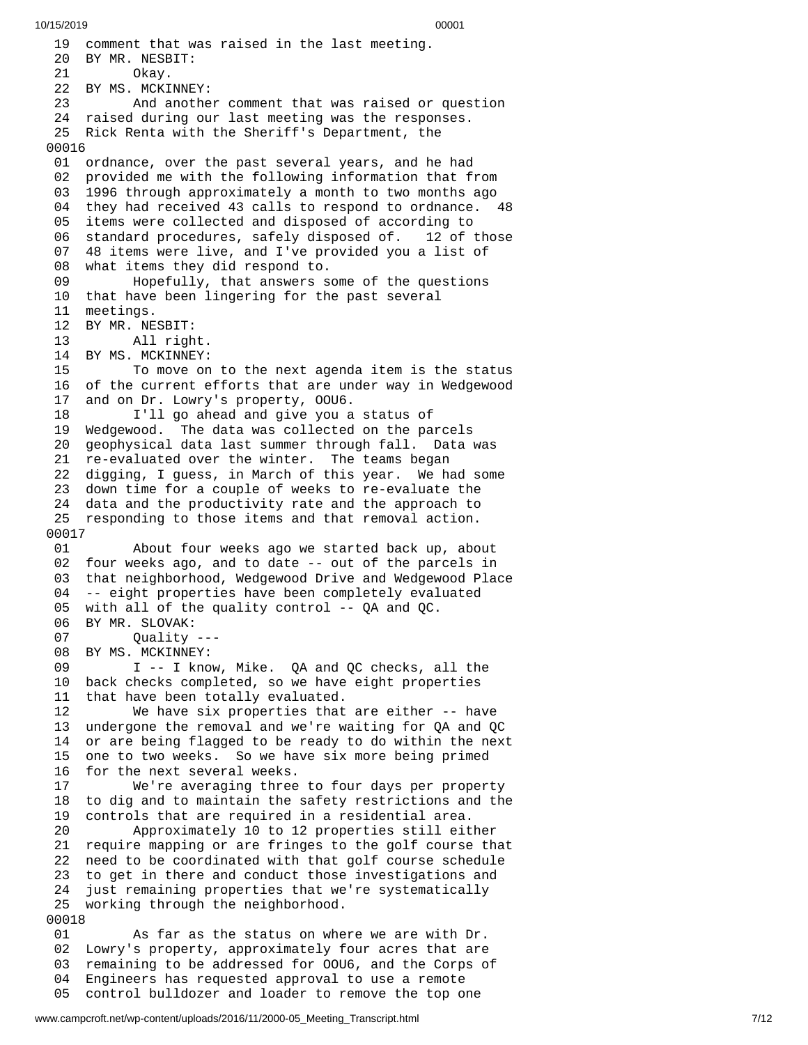19 comment that was raised in the last meeting. 20 BY MR. NESBIT: 21 Okay. 22 BY MS. MCKINNEY: 23 And another comment that was raised or q u e s t i o n 24 raised during our last meeting was the responses. 25 Rick Renta with the Sheriff's Department, the 00016 01 ordnance, over the past several years, and he had 02 provided me with the following information that from 0 3 1996 through approximately a month to two months ago 04 they had received 43 calls to respond to ordnance. 48 05 items were collected and disposed of according to 06 standard procedures, safely disposed of. 1 2 o f t h o s e 07 48 items were live, and I've provided you a list of 08 what items they did respond to. 09 Hopefully, that answers some of the questions 10 that have been lingering for the past several 11 meetings. 12 BY MR. NESBIT: 13 All righ t. 14 BY MS. MCKINNEY:<br>15 To move on 15 To move on to the next agenda item is the status 16 of the current efforts that are under way in Wedgewood 1 7 and on Dr. Lowry's property, OOU6. 18 I'll go ahead and give you a status of 19 Wedgewood. The data was collected on the parcels 20 geophysical data last summer through fall. Data was 21 re-evaluated over the winter. The teams began 22 digging, I guess, in March of this year. We had some 23 down time for a couple of weeks to re-evaluate the 24 data and the productivity rate and the approach to 25 responding to those items and that removal action. 00017 01 About four weeks ago we started back up, abo u t 02 four weeks ago, and to date -- out of the parcels in 0 3 that neighborhood, Wedgewood Drive and Wedgewood Place 0 4 -- eight properties have been completely evaluated 05 with all of the quality control -- QA and QC. 06 BY MR. SLOVAK: Quality ---08 BY MS. MCKINNEY: 09 I -- I know, Mike. QA and QC checks, all the 10 back checks completed, so we have eight properties 11 that have been totally evaluated. 12 We have six properties that a r e e i t h e r - - h a v e 13 undergone the removal and we're waiting for QA and QC 14 or are being flagged to be ready to do within the next 15 one to two weeks. So we have six more being primed 16 for the next several weeks. 17 We're averaging three t o f o u r d a y s p e r p r o p e r t y 18 to dig and to maintain the safety restrictions and the 1 9 controls that are required in a residential area. 20 Approximately 10 to 12 properties still eit h e r 21 require mapping or are fringes to the golf course that 2 2 need to be coordinated with that golf course schedule 23 to get in there and conduct those investigations and 24 just remaining properties that we're systematically 25 working through the neighborhood. 00018 01 As far as the status on where we are with Dr. 02 Lowry's property, approximately four acres that are 03 remaining to be addressed for OOU6, and the Corps o f 0 4 Engineers has requested approval to use a remote

05 control bulldozer and loader to remove the top one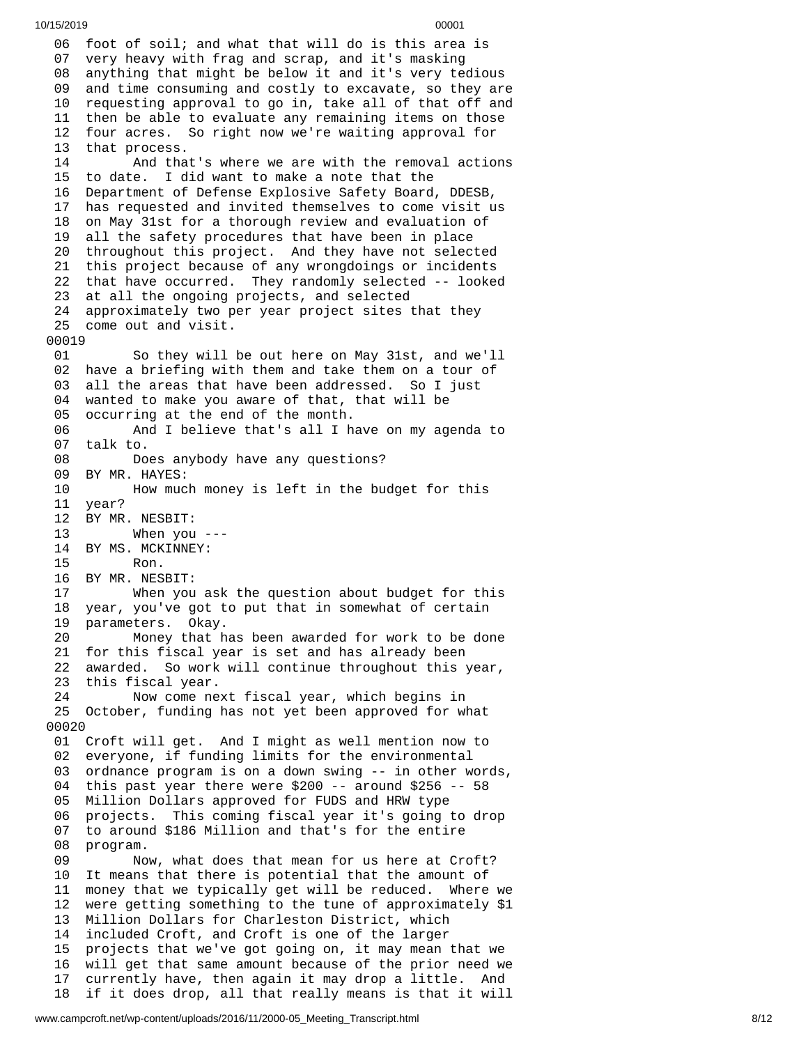06 foot of soil; and what that will do is this area is 07 very heavy with frag and scrap, and it's masking 08 anything that might be below it and it's very tedious 0 9 and time consuming and costly to excavate, so they are 10 requesting approval to go in, take all of that off and 11 then be able to evaluate any remaining items on those 12 four acres. So right now we're waiting approval for 13 that process. 14 And tha t's w h e r e w e a r e w i t h t h e r e m o v a l a c t i o n s 15 to date. I did want to make a note that the 1 6 Department of Defense Explosive Safety Board, DDESB, 1 7 has requested and invited themselves to come visit us 18 on May 31st for a thorough review and evaluation of 1 9 all the safety procedures that have been in place 20 throughout this project. And they have not selected 21 this project because of any wrongdoings or incidents 22 that have occurred. They randomly selected -- looked 23 at all the ongoing projects, and selected 24 approximately two per year project sites that they 25 come out and visit. 00019 01 So they will be out here on May 31st, and we'll 02 have a briefing with them and take them on a tour of 0 3 all the areas that have been addressed. So I just 0 4 wanted to make you aware of that, that will be 0 5 occurring at the end of the month. 06 And I believe that's all I have on my agenda to 07 talk to. 08 Do e s a n y b o d y h a v e a n y q u e s t i o n s ? 0 9 BY MR. HAYES: 10 How much money is left in the budget for this 11 year? 12 BY MR. NESBIT: 13 When you - - - 14 BY MS. MCKINNEY: 15 Ron. 16 BY MR. NESBIT: 17 When you ask the question about budget for this 18 year, you've got to put that in somewhat of certain 1 9 parameters. Okay. 20 Money that has been awarded for work to be done 21 for this fiscal year is set and has already been 2 2 awarded. So work will continue throughout this year, 2 3 this fiscal year. 24 Now come next fiscal year, which begins in 25 October, funding has not yet been approved for what 0 0 0 2 0 01 Croft will get. And I might as well mention now to 02 everyone, if funding limits for the environmental 03 ordnance program is on a down swing -- in other words, 04 this past year there were \$200 -- around \$256 -- 58 0 5 <code>Million Dollars approved for FUDS and HRW type</code> 0 6 projects. This coming fiscal year it's going to drop 0 7 to around \$186 Million and that's for the entire 0 8 program. 09 Now, what does that mean for us here at Croft? 1 0 It means that there is potential that the amount of 1 1 money that we typically get will be reduced. Where we 1 2 were getting something to the tune of approximately \$1 13 Million Dollars for Charleston District, which 1 4 included Croft, and Croft is one of the larger 15 projects that we've got going on, it may mean that we 16 will get that same amount because of the prior need we 1 7 currently have, then again it may drop a little. And 18 if it does drop, all that really means is that it will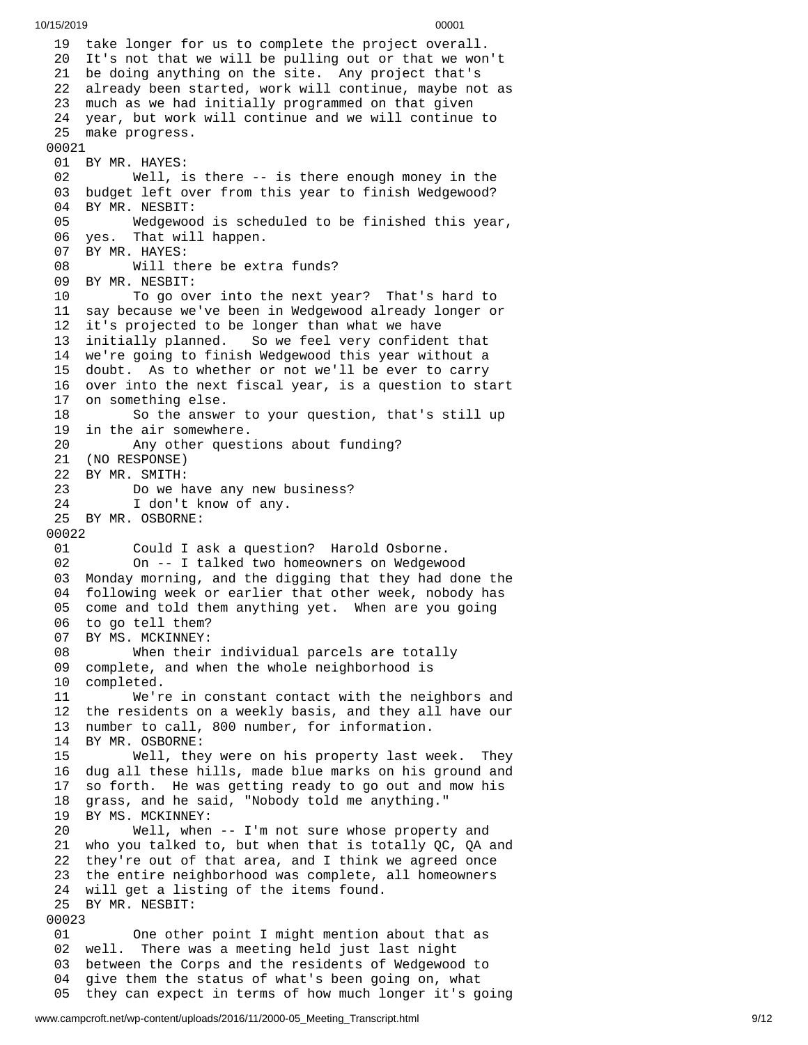19 take longer for us to complete the project overall. 20 It's not that we will be pulling out or that we won't 21 be doing anything on the site. Any project that's 22 already been started, work will continue, maybe not a s 2 3 much as we had initially programmed on that given 24 year, but work will continue and we will continue to 25 make progress. 00021 01 BY MR. HAYES: 02 Well, is t h e r e - - i s t h e r e e n o u g h m o n e y i n t h e 03 budget left over from this year to finish Wedgewood? 04 BY MR. NESBIT: 05 Wedgewoo d i s s c h e d u l e d t o b e f i n i s h e d t h i s y e a r , 06 yes. That will happen. 07 BY MR. HAYES: 08 Will there be ext r a f u n d s ? 09 BY MR. NESBIT: 10 To go over into the next year? That's hard to 11 say because we've been in Wedgewood already longer or 12 it's projected to be longer than what we have 1 3 initially planned. So o we feel very confident that 14 we're going to finish Wedgewood this year without a 15 doubt. As to whether or not we'll be ever to carry 16 over into the next fiscal year, is a question to start 17 on something else. 18 So the answer to your question, that's still up 19 in the air somewhere. 20 Any other quest i o n s a b o u t f u n d i n g ? 21 (NO RESPONSE) 22 BY MR. SMITH: 23 Do we h a v e a n y n e w b u s i n e s s ? 2 4 I don't know of any. 25 BY MR. OSBORNE: 00022 01 Could I ask a question? Harold Osborne. 02 On -- I talked two homeowners on Wedgewo o d 03 Monday morning, and the digging that they had done the 04 following week or earlier that other week, nobody has 05 come and told them anything yet. When are you going 06 to go tell them? 0 7 BY MS. MCKINNEY: 08 When their i n d i v i d u a l p a r c e l s a r e t o t a l l y 09 complete, and when the whole neighborhood is 10 completed. 11 We're in constant contact with the neighbors and 12 the residents on a weekly basis, and they all have our 13 number to call, 800 number, for information. 14 BY MR. OSBORNE: 15 Well, they were on his property last w e e k. T h e y 16 dug all these hills, made blue marks on his ground and 1 7 so forth. He was getting ready to go out and mow his 1 8 grass, and he said, "Nobody told me anything." 19 BY MS. MCKINNEY: 20 Well, when - - I'm n o t s u r e w h o s e p r o p e r t y a n d 21 who you talked to, but when that is totally QC, QA and 22 they're out of that area, and I think we agreed once 23 the entire neighborhood was complete, all homeowners 24 will get a listing of the items found. 25 BY MR. NESBIT: 00023 01 One other point I might mention a b o u t t h a t a s 02 well. There was a meeting held just last night 03 between the Corps and the residents of Wedgewood to 0 4 give them the status of what's been going on, what 05 they can expect in terms of how much longer it's going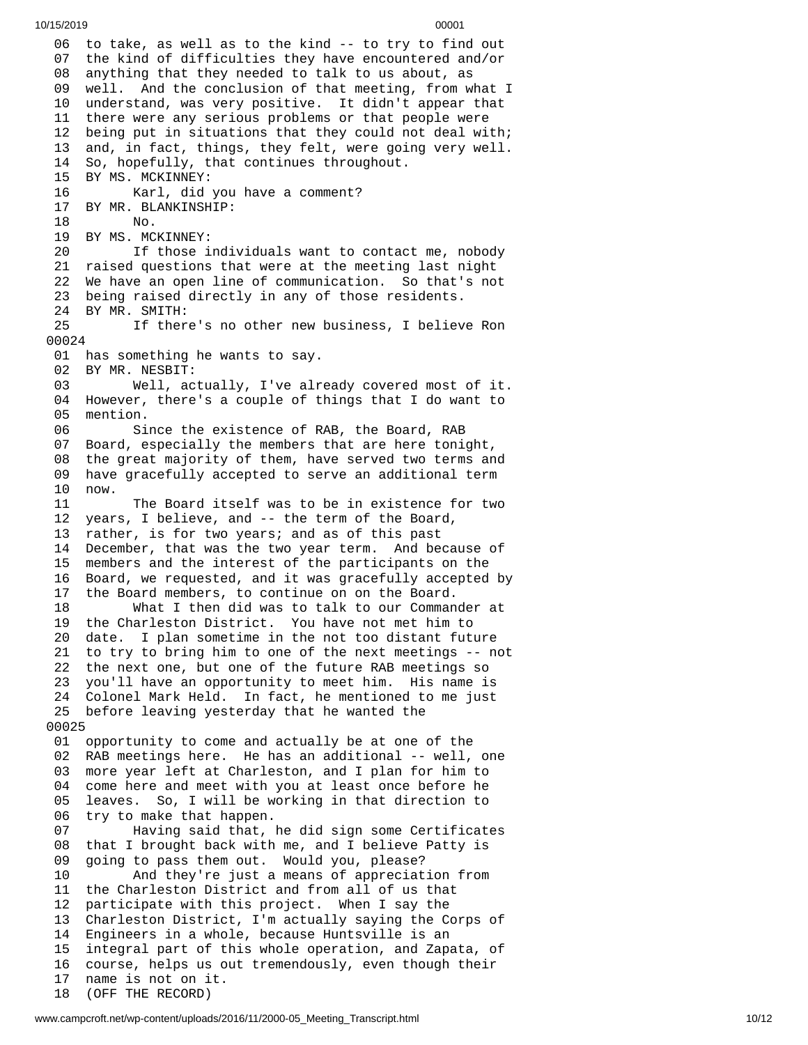06 to take, as well as to the kind -- to try to find out 07 the kind of difficulties they have encountered and/or 08 anything that they needed to talk to us about, as 09 well. And the conclusion of that meeting, from what I 10 understand, was very positive. It didn't appear that 11 there were any serious problems or that people were 2 being put in situations that they could not deal with; 3 and, in fact, things, they felt, were going very well. So, hopefully, that continues throughout. BY MS. MCKINNEY: Karl, did you have a comment? BY MR. BLANKINSHIP: No. BY MS. MCKINNEY: If those individuals want to contact me, nobody raised questions that were at the meeting last night We have an open line of communication. So that's not being raised directly in any of those residents. BY MR. SMITH: If there's no other new business, I believe Ron 0 0 2 4 01 has something he wants to say. BY MR. NESBIT: Well, actually, I've alr e a d y c o v e r e d m o s t o f i t. However, there's a couple of things that I do want to mention. Since the existence of RAB, the Board, RAB Board, especially the members that are here tonight, the great majority of them, have served two terms and have gracefully accepted to serve an additional term now. The Board itself was to be in existence for two years, I believe, and -- the term of the Board, rather, is for two years; and as of this past December, that was the two year term. And because of members and the interest of the participants on the Board, we requested, and it was gracefully accepted by the Board members, to continue on on the Board. What I then did was to talk to our Commander at the Charleston District. You have not met him to date. I plan sometime in the not too distant future to try to bring him to one of the next meetings -- not the next one, but one of the future RAB meetings so you'll have an opportunity to meet him. His name is Colonel Mark Held. In fact, he mentioned to me just before leaving yesterday that he wanted the 0 0 2 5 01 opportunity to come and actually be at one of the 02 RAB meetings here. He has an additional -- well, one 03 more year left at Charleston, and I plan for him to 04 come here and meet with you at least once before he 5 leaves. So, I will be working in that direction to 6 try to make that happen. 07 Having said that, he did sign some Certificates 8 that I brought back with me, and I believe Patty is 9 going to pass them out. Would you, please? 0 And they're just a means of appreciation from 11 the Charleston District and from all of us that 2 participate with this project. When I say the 3 Charleston District, I'm actually saying the Corps of 14 Engineers in a whole, because Huntsville is an 5 integral part of this whole operation, and Zapata, of 16 course, helps us out tremendously, even though their 7 name is not on it. (OFF THE RECORD)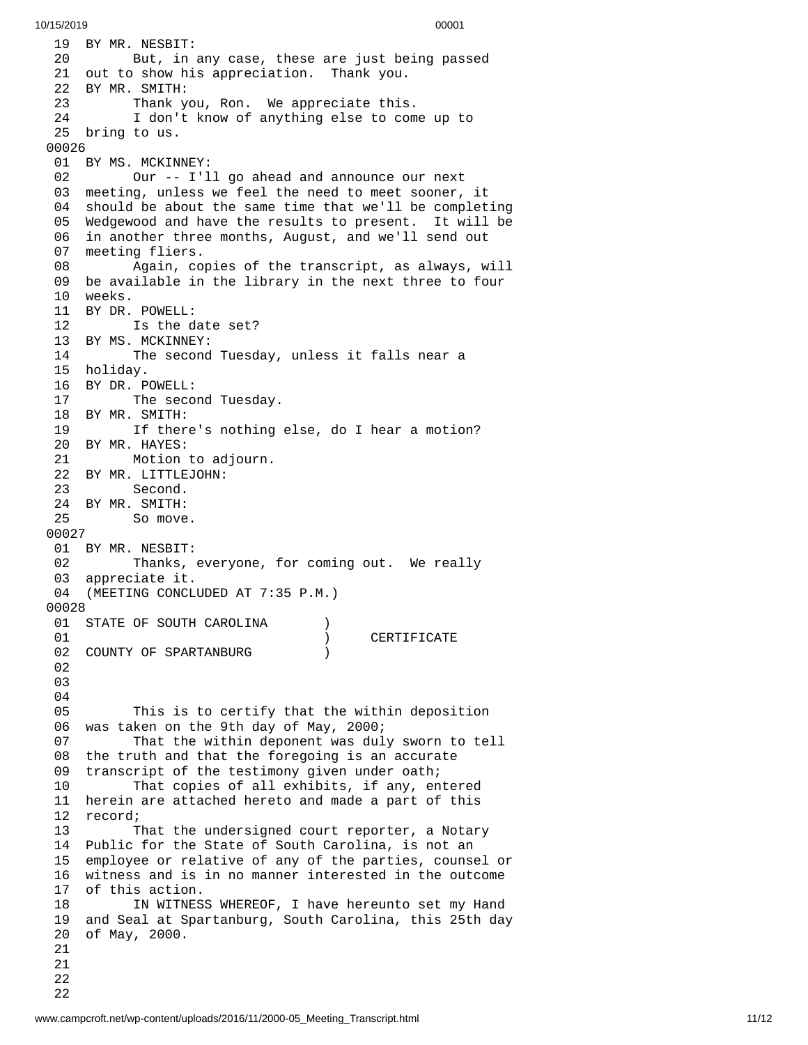19 BY MR. NESBIT: 20 But, in any case, these are just being passed 21 out to show his appreciation. Thank you. 22 BY MR. SMITH: 23 Thank you, Ron. We appreciate this. 24 I don't know of anything else to com e u p t o 25 bring to us. 00026 01 BY MS. MCKINNEY: 02 Our -- I'l l g o a h e a d a n d a n n o u n c e o u r n e x t 03 meeting, unless we feel the need to meet sooner, it 04 should be about the same time that we'll be completing 05 Wedgewood and have the results to present. It will be 06 in another three months, August, and we'll send out 0 7 meeting fliers. 08 Again, copies of the transcript, as always, will 09 be available in the library in the next three to four 10 weeks. 11 BY DR. P O W E L L: 12 Is the date set? 13 BY MS. MCKINNEY: 14 The second Tuesday, unless it falls near a 1 5 h o l i d a y. 16 BY DR. P O W E L L: 17 The second Tuesday. 18 BY MR. SMITH: 19 If there's nothing else, do I hear a motion? 20 BY MR. HAYES: 21 Motion to adjourn. 22 BY MR. LITTLEJOHN: 23 Second. 24 BY MR. SMITH: 25 So move. 00027 01 BY MR. NESBIT: 02 Thanks, everyone, for coming out. We really 0 3 appreciate it. 04 (MEETING CONCLUDED AT 7:35 P.M.) 0 0 0 2 8 01 STATE OF SOUTH CAROLINA ) 0 1 ) CERTIFICATE 02 COUNTY OF SPARTANBURG ) 0 2 0 3 0 4 0 5 This is to certify that the within deposition 06 was taken on the 9th day of May, 2000; 0 7 That the within deponent was duly sworn to tell 08 the truth and that the foregoing is an accurate 0 9 transcript of the testimony given under oath; 1 0 That copies of all exhibits, if any, entered 11 herein are attached hereto and made a part of this 12 record; 1 3 That the undersigned court reporter, a Notary 14 Public for the State of South Carolina, is not an 1 5 employee or relative of any of the parties, counsel or 1 6 witness and is in no manner interested in the outcome 17 of this action. 18 IN WITNESS WHEREOF, I have hereunto set my Hand 1 9 and Seal at Spartanburg, South Carolina, this 25th day 2 0 of May, 2000. 21<br>21<br>22<br>22